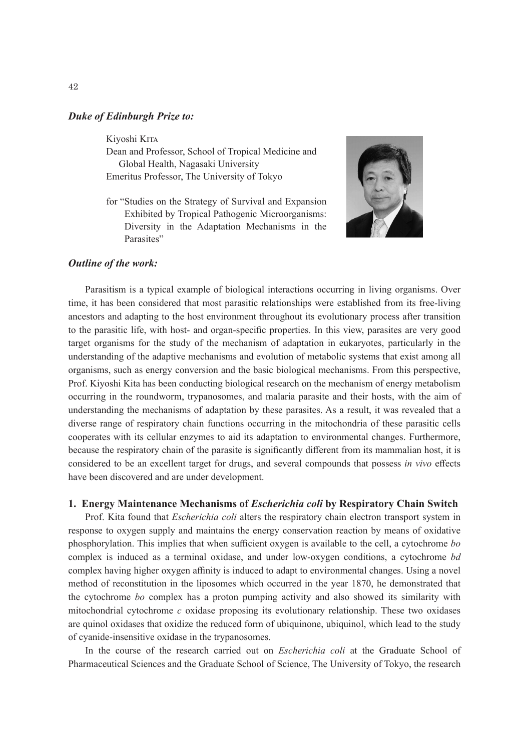## *Duke of Edinburgh Prize to:*

#### Kiyoshi Kita

Dean and Professor, School of Tropical Medicine and Global Health, Nagasaki University Emeritus Professor, The University of Tokyo

for "Studies on the Strategy of Survival and Expansion Exhibited by Tropical Pathogenic Microorganisms: Diversity in the Adaptation Mechanisms in the Parasites"



## *Outline of the work:*

Parasitism is a typical example of biological interactions occurring in living organisms. Over time, it has been considered that most parasitic relationships were established from its free-living ancestors and adapting to the host environment throughout its evolutionary process after transition to the parasitic life, with host- and organ-specific properties. In this view, parasites are very good target organisms for the study of the mechanism of adaptation in eukaryotes, particularly in the understanding of the adaptive mechanisms and evolution of metabolic systems that exist among all organisms, such as energy conversion and the basic biological mechanisms. From this perspective, Prof. Kiyoshi Kita has been conducting biological research on the mechanism of energy metabolism occurring in the roundworm, trypanosomes, and malaria parasite and their hosts, with the aim of understanding the mechanisms of adaptation by these parasites. As a result, it was revealed that a diverse range of respiratory chain functions occurring in the mitochondria of these parasitic cells cooperates with its cellular enzymes to aid its adaptation to environmental changes. Furthermore, because the respiratory chain of the parasite is significantly different from its mammalian host, it is considered to be an excellent target for drugs, and several compounds that possess *in vivo* effects have been discovered and are under development.

## **1. Energy Maintenance Mechanisms of** *Escherichia coli* **by Respiratory Chain Switch**

Prof. Kita found that *Escherichia coli* alters the respiratory chain electron transport system in response to oxygen supply and maintains the energy conservation reaction by means of oxidative phosphorylation. This implies that when sufficient oxygen is available to the cell, a cytochrome *bo* complex is induced as a terminal oxidase, and under low-oxygen conditions, a cytochrome *bd* complex having higher oxygen affinity is induced to adapt to environmental changes. Using a novel method of reconstitution in the liposomes which occurred in the year 1870, he demonstrated that the cytochrome *bo* complex has a proton pumping activity and also showed its similarity with mitochondrial cytochrome *c* oxidase proposing its evolutionary relationship. These two oxidases are quinol oxidases that oxidize the reduced form of ubiquinone, ubiquinol, which lead to the study of cyanide-insensitive oxidase in the trypanosomes.

In the course of the research carried out on *Escherichia coli* at the Graduate School of Pharmaceutical Sciences and the Graduate School of Science, The University of Tokyo, the research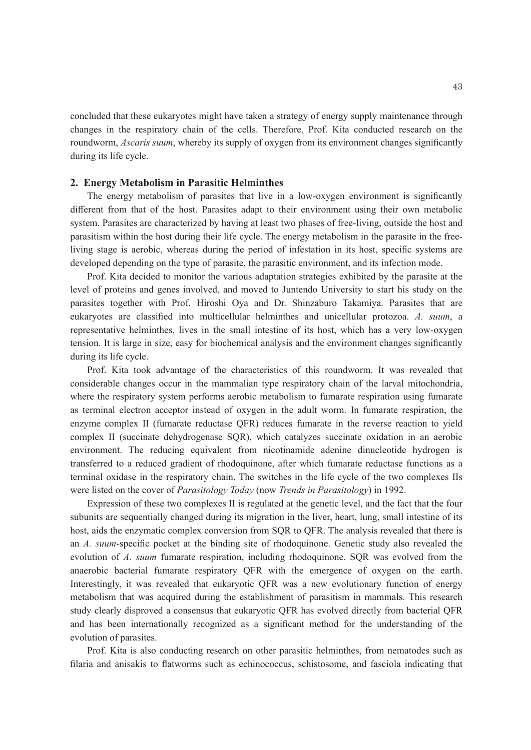concluded that these eukaryotes might have taken a strategy of energy supply maintenance through changes in the respiratory chain of the cells. Therefore, Prof. Kita conducted research on the roundworm, *Ascaris suum*, whereby its supply of oxygen from its environment changes significantly during its life cycle.

## **2. Energy Metabolism in Parasitic Helminthes**

The energy metabolism of parasites that live in a low-oxygen environment is significantly different from that of the host. Parasites adapt to their environment using their own metabolic system. Parasites are characterized by having at least two phases of free-living, outside the host and parasitism within the host during their life cycle. The energy metabolism in the parasite in the freeliving stage is aerobic, whereas during the period of infestation in its host, specific systems are developed depending on the type of parasite, the parasitic environment, and its infection mode.

Prof. Kita decided to monitor the various adaptation strategies exhibited by the parasite at the level of proteins and genes involved, and moved to Juntendo University to start his study on the parasites together with Prof. Hiroshi Oya and Dr. Shinzaburo Takamiya. Parasites that are eukaryotes are classified into multicellular helminthes and unicellular protozoa. *A. suum*, a representative helminthes, lives in the small intestine of its host, which has a very low-oxygen tension. It is large in size, easy for biochemical analysis and the environment changes significantly during its life cycle.

Prof. Kita took advantage of the characteristics of this roundworm. It was revealed that considerable changes occur in the mammalian type respiratory chain of the larval mitochondria, where the respiratory system performs aerobic metabolism to fumarate respiration using fumarate as terminal electron acceptor instead of oxygen in the adult worm. In fumarate respiration, the enzyme complex II (fumarate reductase QFR) reduces fumarate in the reverse reaction to yield complex II (succinate dehydrogenase SQR), which catalyzes succinate oxidation in an aerobic environment. The reducing equivalent from nicotinamide adenine dinucleotide hydrogen is transferred to a reduced gradient of rhodoquinone, after which fumarate reductase functions as a terminal oxidase in the respiratory chain. The switches in the life cycle of the two complexes IIs were listed on the cover of *Parasitology Today* (now *Trends in Parasitology*) in 1992.

Expression of these two complexes II is regulated at the genetic level, and the fact that the four subunits are sequentially changed during its migration in the liver, heart, lung, small intestine of its host, aids the enzymatic complex conversion from SQR to QFR. The analysis revealed that there is an *A. suum*-specific pocket at the binding site of rhodoquinone. Genetic study also revealed the evolution of *A. suum* fumarate respiration, including rhodoquinone. SQR was evolved from the anaerobic bacterial fumarate respiratory QFR with the emergence of oxygen on the earth. Interestingly, it was revealed that eukaryotic QFR was a new evolutionary function of energy metabolism that was acquired during the establishment of parasitism in mammals. This research study clearly disproved a consensus that eukaryotic QFR has evolved directly from bacterial QFR and has been internationally recognized as a significant method for the understanding of the evolution of parasites.

Prof. Kita is also conducting research on other parasitic helminthes, from nematodes such as filaria and anisakis to flatworms such as echinococcus, schistosome, and fasciola indicating that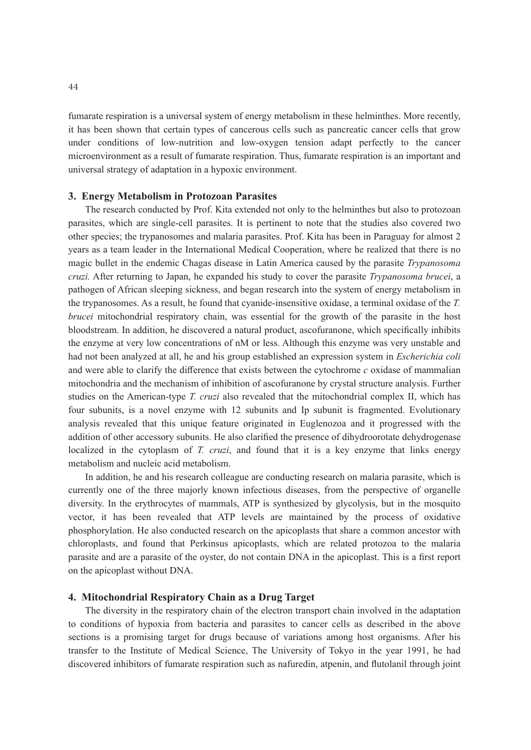fumarate respiration is a universal system of energy metabolism in these helminthes. More recently, it has been shown that certain types of cancerous cells such as pancreatic cancer cells that grow under conditions of low-nutrition and low-oxygen tension adapt perfectly to the cancer microenvironment as a result of fumarate respiration. Thus, fumarate respiration is an important and universal strategy of adaptation in a hypoxic environment.

#### **3. Energy Metabolism in Protozoan Parasites**

The research conducted by Prof. Kita extended not only to the helminthes but also to protozoan parasites, which are single-cell parasites. It is pertinent to note that the studies also covered two other species; the trypanosomes and malaria parasites. Prof. Kita has been in Paraguay for almost 2 years as a team leader in the International Medical Cooperation, where he realized that there is no magic bullet in the endemic Chagas disease in Latin America caused by the parasite *Trypanosoma cruzi.* After returning to Japan, he expanded his study to cover the parasite *Trypanosoma brucei*, a pathogen of African sleeping sickness, and began research into the system of energy metabolism in the trypanosomes. As a result, he found that cyanide-insensitive oxidase, a terminal oxidase of the *T. brucei* mitochondrial respiratory chain, was essential for the growth of the parasite in the host bloodstream. In addition, he discovered a natural product, ascofuranone, which specifically inhibits the enzyme at very low concentrations of nM or less. Although this enzyme was very unstable and had not been analyzed at all, he and his group established an expression system in *Escherichia coli* and were able to clarify the difference that exists between the cytochrome *c* oxidase of mammalian mitochondria and the mechanism of inhibition of ascofuranone by crystal structure analysis. Further studies on the American-type *T. cruzi* also revealed that the mitochondrial complex II, which has four subunits, is a novel enzyme with 12 subunits and Ip subunit is fragmented. Evolutionary analysis revealed that this unique feature originated in Euglenozoa and it progressed with the addition of other accessory subunits. He also clarified the presence of dihydroorotate dehydrogenase localized in the cytoplasm of *T. cruzi*, and found that it is a key enzyme that links energy metabolism and nucleic acid metabolism.

In addition, he and his research colleague are conducting research on malaria parasite, which is currently one of the three majorly known infectious diseases, from the perspective of organelle diversity. In the erythrocytes of mammals, ATP is synthesized by glycolysis, but in the mosquito vector, it has been revealed that ATP levels are maintained by the process of oxidative phosphorylation. He also conducted research on the apicoplasts that share a common ancestor with chloroplasts, and found that Perkinsus apicoplasts, which are related protozoa to the malaria parasite and are a parasite of the oyster, do not contain DNA in the apicoplast. This is a first report on the apicoplast without DNA.

### **4. Mitochondrial Respiratory Chain as a Drug Target**

The diversity in the respiratory chain of the electron transport chain involved in the adaptation to conditions of hypoxia from bacteria and parasites to cancer cells as described in the above sections is a promising target for drugs because of variations among host organisms. After his transfer to the Institute of Medical Science, The University of Tokyo in the year 1991, he had discovered inhibitors of fumarate respiration such as nafuredin, atpenin, and flutolanil through joint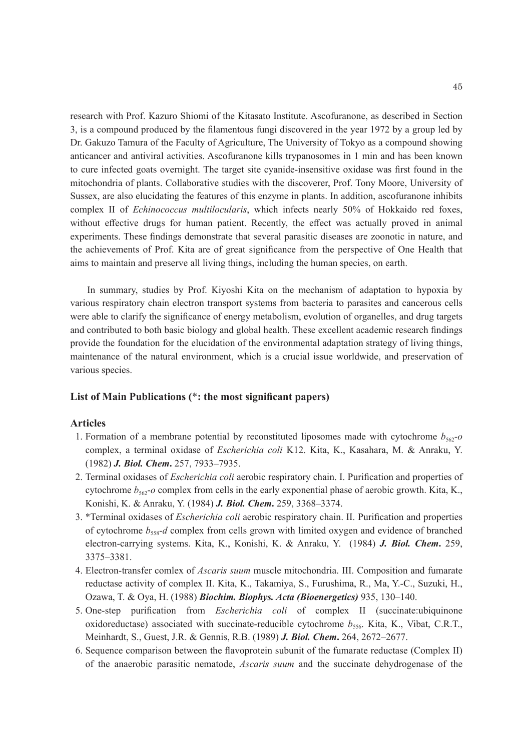research with Prof. Kazuro Shiomi of the Kitasato Institute. Ascofuranone, as described in Section 3, is a compound produced by the filamentous fungi discovered in the year 1972 by a group led by Dr. Gakuzo Tamura of the Faculty of Agriculture, The University of Tokyo as a compound showing anticancer and antiviral activities. Ascofuranone kills trypanosomes in 1 min and has been known to cure infected goats overnight. The target site cyanide-insensitive oxidase was first found in the mitochondria of plants. Collaborative studies with the discoverer, Prof. Tony Moore, University of Sussex, are also elucidating the features of this enzyme in plants. In addition, ascofuranone inhibits complex II of *Echinococcus multilocularis*, which infects nearly 50% of Hokkaido red foxes, without effective drugs for human patient. Recently, the effect was actually proved in animal experiments. These findings demonstrate that several parasitic diseases are zoonotic in nature, and the achievements of Prof. Kita are of great significance from the perspective of One Health that aims to maintain and preserve all living things, including the human species, on earth.

In summary, studies by Prof. Kiyoshi Kita on the mechanism of adaptation to hypoxia by various respiratory chain electron transport systems from bacteria to parasites and cancerous cells were able to clarify the significance of energy metabolism, evolution of organelles, and drug targets and contributed to both basic biology and global health. These excellent academic research findings provide the foundation for the elucidation of the environmental adaptation strategy of living things, maintenance of the natural environment, which is a crucial issue worldwide, and preservation of various species.

## **List of Main Publications (**\***: the most significant papers)**

# **Articles**

- 1. Formation of a membrane potential by reconstituted liposomes made with cytochrome  $b_{562}$ - $o$ complex, a terminal oxidase of *Escherichia coli* K12. Kita, K., Kasahara, M. & Anraku, Y. (1982) *J. Biol. Chem***.** 257, 7933–7935.
- 2. Terminal oxidases of *Escherichia coli* aerobic respiratory chain. I. Purification and properties of cytochrome  $b_{562}$ -*o* complex from cells in the early exponential phase of aerobic growth. Kita, K., Konishi, K. & Anraku, Y. (1984) *J. Biol. Chem***.** 259, 3368–3374.
- 3. \*Terminal oxidases of *Escherichia coli* aerobic respiratory chain. II. Purification and properties of cytochrome  $b_{558}$ -*d* complex from cells grown with limited oxygen and evidence of branched electron-carrying systems. Kita, K., Konishi, K. & Anraku, Y. (1984) *J. Biol. Chem***.** 259, 3375–3381.
- 4. Electron-transfer comlex of *Ascaris suum* muscle mitochondria. III. Composition and fumarate reductase activity of complex II. Kita, K., Takamiya, S., Furushima, R., Ma, Y.-C., Suzuki, H., Ozawa, T. & Oya, H. (1988) *Biochim. Biophys. Acta (Bioenergetics)* 935, 130–140.
- 5. One-step purification from *Escherichia coli* of complex II (succinate:ubiquinone oxidoreductase) associated with succinate-reducible cytochrome  $b_{556}$ . Kita, K., Vibat, C.R.T., Meinhardt, S., Guest, J.R. & Gennis, R.B. (1989) *J. Biol. Chem***.** 264, 2672–2677.
- 6. Sequence comparison between the flavoprotein subunit of the fumarate reductase (Complex II) of the anaerobic parasitic nematode, *Ascaris suum* and the succinate dehydrogenase of the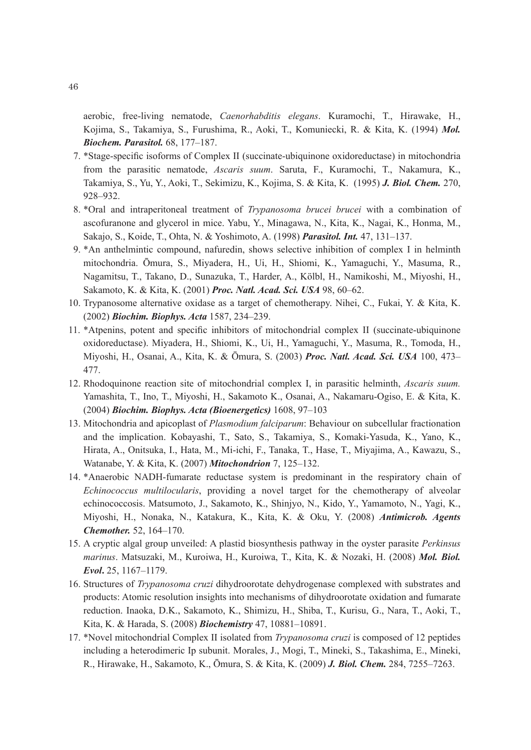aerobic, free-living nematode, *Caenorhabditis elegans*. Kuramochi, T., Hirawake, H., Kojima, S., Takamiya, S., Furushima, R., Aoki, T., Komuniecki, R. & Kita, K. (1994) *Mol. Biochem. Parasitol.* 68, 177–187.

- 7. \*Stage-specific isoforms of Complex II (succinate-ubiquinone oxidoreductase) in mitochondria from the parasitic nematode, *Ascaris suum*. Saruta, F., Kuramochi, T., Nakamura, K., Takamiya, S., Yu, Y., Aoki, T., Sekimizu, K., Kojima, S. & Kita, K. (1995) *J. Biol. Chem.* 270, 928–932.
- 8. \*Oral and intraperitoneal treatment of *Trypanosoma brucei brucei* with a combination of ascofuranone and glycerol in mice. Yabu, Y., Minagawa, N., Kita, K., Nagai, K., Honma, M., Sakajo, S., Koide, T., Ohta, N. & Yoshimoto, A. (1998) *Parasitol. Int.* 47, 131–137.
- 9. \*An anthelmintic compound, nafuredin, shows selective inhibition of complex I in helminth mitochondria. Ōmura, S., Miyadera, H., Ui, H., Shiomi, K., Yamaguchi, Y., Masuma, R., Nagamitsu, T., Takano, D., Sunazuka, T., Harder, A., Kölbl, H., Namikoshi, M., Miyoshi, H., Sakamoto, K. & Kita, K. (2001) *Proc. Natl. Acad. Sci. USA* 98, 60–62.
- 10. Trypanosome alternative oxidase as a target of chemotherapy. Nihei, C., Fukai, Y. & Kita, K. (2002) *Biochim. Biophys. Acta* 1587, 234–239.
- 11. \*Atpenins, potent and specific inhibitors of mitochondrial complex II (succinate-ubiquinone oxidoreductase). Miyadera, H., Shiomi, K., Ui, H., Yamaguchi, Y., Masuma, R., Tomoda, H., Miyoshi, H., Osanai, A., Kita, K. & Ōmura, S. (2003) *Proc. Natl. Acad. Sci. USA* 100, 473– 477.
- 12. Rhodoquinone reaction site of mitochondrial complex I, in parasitic helminth, *Ascaris suum.* Yamashita, T., Ino, T., Miyoshi, H., Sakamoto K., Osanai, A., Nakamaru-Ogiso, E. & Kita, K. (2004) *Biochim. Biophys. Acta (Bioenergetics)* 1608, 97–103
- 13. Mitochondria and apicoplast of *Plasmodium falciparum*: Behaviour on subcellular fractionation and the implication. Kobayashi, T., Sato, S., Takamiya, S., Komaki-Yasuda, K., Yano, K., Hirata, A., Onitsuka, I., Hata, M., Mi-ichi, F., Tanaka, T., Hase, T., Miyajima, A., Kawazu, S., Watanabe, Y. & Kita, K. (2007) *Mitochondrion* 7, 125–132.
- 14. \*Anaerobic NADH-fumarate reductase system is predominant in the respiratory chain of *Echinococcus multilocularis*, providing a novel target for the chemotherapy of alveolar echinococcosis. Matsumoto, J., Sakamoto, K., Shinjyo, N., Kido, Y., Yamamoto, N., Yagi, K., Miyoshi, H., Nonaka, N., Katakura, K., Kita, K. & Oku, Y. (2008) *Antimicrob. Agents Chemother.* 52, 164–170.
- 15. A cryptic algal group unveiled: A plastid biosynthesis pathway in the oyster parasite *Perkinsus marinus*. Matsuzaki, M., Kuroiwa, H., Kuroiwa, T., Kita, K. & Nozaki, H. (2008) *Mol. Biol. Evol***.** 25, 1167–1179.
- 16. Structures of *Trypanosoma cruzi* dihydroorotate dehydrogenase complexed with substrates and products: Atomic resolution insights into mechanisms of dihydroorotate oxidation and fumarate reduction. Inaoka, D.K., Sakamoto, K., Shimizu, H., Shiba, T., Kurisu, G., Nara, T., Aoki, T., Kita, K. & Harada, S. (2008) *Biochemistry* 47, 10881–10891.
- 17. \*Novel mitochondrial Complex II isolated from *Trypanosoma cruzi* is composed of 12 peptides including a heterodimeric Ip subunit. Morales, J., Mogi, T., Mineki, S., Takashima, E., Mineki, R., Hirawake, H., Sakamoto, K., Ōmura, S. & Kita, K. (2009) *J. Biol. Chem.* 284, 7255–7263.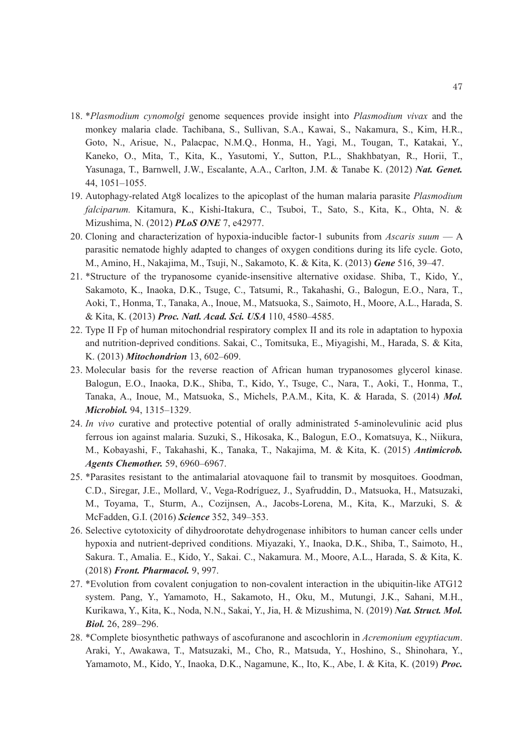- 18. \**Plasmodium cynomolgi* genome sequences provide insight into *Plasmodium vivax* and the monkey malaria clade. Tachibana, S., Sullivan, S.A., Kawai, S., Nakamura, S., Kim, H.R., Goto, N., Arisue, N., Palacpac, N.M.Q., Honma, H., Yagi, M., Tougan, T., Katakai, Y., Kaneko, O., Mita, T., Kita, K., Yasutomi, Y., Sutton, P.L., Shakhbatyan, R., Horii, T., Yasunaga, T., Barnwell, J.W., Escalante, A.A., Carlton, J.M. & Tanabe K. (2012) *Nat. Genet.*  44, 1051–1055.
- 19. Autophagy-related Atg8 localizes to the apicoplast of the human malaria parasite *Plasmodium falciparum.* Kitamura, K., Kishi-Itakura, C., Tsuboi, T., Sato, S., Kita, K., Ohta, N. & Mizushima, N. (2012) *PLoS ONE* 7, e42977.
- 20. Cloning and characterization of hypoxia-inducible factor-1 subunits from *Ascaris suum* A parasitic nematode highly adapted to changes of oxygen conditions during its life cycle. Goto, M., Amino, H., Nakajima, M., Tsuji, N., Sakamoto, K. & Kita, K. (2013) *Gene* 516, 39–47.
- 21. \*Structure of the trypanosome cyanide-insensitive alternative oxidase. Shiba, T., Kido, Y., Sakamoto, K., Inaoka, D.K., Tsuge, C., Tatsumi, R., Takahashi, G., Balogun, E.O., Nara, T., Aoki, T., Honma, T., Tanaka, A., Inoue, M., Matsuoka, S., Saimoto, H., Moore, A.L., Harada, S. & Kita, K. (2013) *Proc. Natl. Acad. Sci. USA* 110, 4580–4585.
- 22. Type II Fp of human mitochondrial respiratory complex II and its role in adaptation to hypoxia and nutrition-deprived conditions. Sakai, C., Tomitsuka, E., Miyagishi, M., Harada, S. & Kita, K. (2013) *Mitochondrion* 13, 602–609.
- 23. Molecular basis for the reverse reaction of African human trypanosomes glycerol kinase. Balogun, E.O., Inaoka, D.K., Shiba, T., Kido, Y., Tsuge, C., Nara, T., Aoki, T., Honma, T., Tanaka, A., Inoue, M., Matsuoka, S., Michels, P.A.M., Kita, K. & Harada, S. (2014) *Mol. Microbiol.* 94, 1315–1329.
- 24. *In vivo* curative and protective potential of orally administrated 5-aminolevulinic acid plus ferrous ion against malaria. Suzuki, S., Hikosaka, K., Balogun, E.O., Komatsuya, K., Niikura, M., Kobayashi, F., Takahashi, K., Tanaka, T., Nakajima, M. & Kita, K. (2015) *Antimicrob. Agents Chemother.* 59, 6960–6967.
- 25. \*Parasites resistant to the antimalarial atovaquone fail to transmit by mosquitoes. Goodman, C.D., Siregar, J.E., Mollard, V., Vega-Rodríguez, J., Syafruddin, D., Matsuoka, H., Matsuzaki, M., Toyama, T., Sturm, A., Cozijnsen, A., Jacobs-Lorena, M., Kita, K., Marzuki, S. & McFadden, G.I. (2016) *Science* 352, 349–353.
- 26. Selective cytotoxicity of dihydroorotate dehydrogenase inhibitors to human cancer cells under hypoxia and nutrient-deprived conditions. Miyazaki, Y., Inaoka, D.K., Shiba, T., Saimoto, H., Sakura. T., Amalia. E., Kido, Y., Sakai. C., Nakamura. M., Moore, A.L., Harada, S. & Kita, K. (2018) *Front. Pharmacol.* 9, 997.
- 27. \*Evolution from covalent conjugation to non-covalent interaction in the ubiquitin-like ATG12 system. Pang, Y., Yamamoto, H., Sakamoto, H., Oku, M., Mutungi, J.K., Sahani, M.H., Kurikawa, Y., Kita, K., Noda, N.N., Sakai, Y., Jia, H. & Mizushima, N. (2019) *Nat. Struct. Mol. Biol.* 26, 289–296.
- 28. \*Complete biosynthetic pathways of ascofuranone and ascochlorin in *Acremonium egyptiacum*. Araki, Y., Awakawa, T., Matsuzaki, M., Cho, R., Matsuda, Y., Hoshino, S., Shinohara, Y., Yamamoto, M., Kido, Y., Inaoka, D.K., Nagamune, K., Ito, K., Abe, I. & Kita, K. (2019) *Proc.*